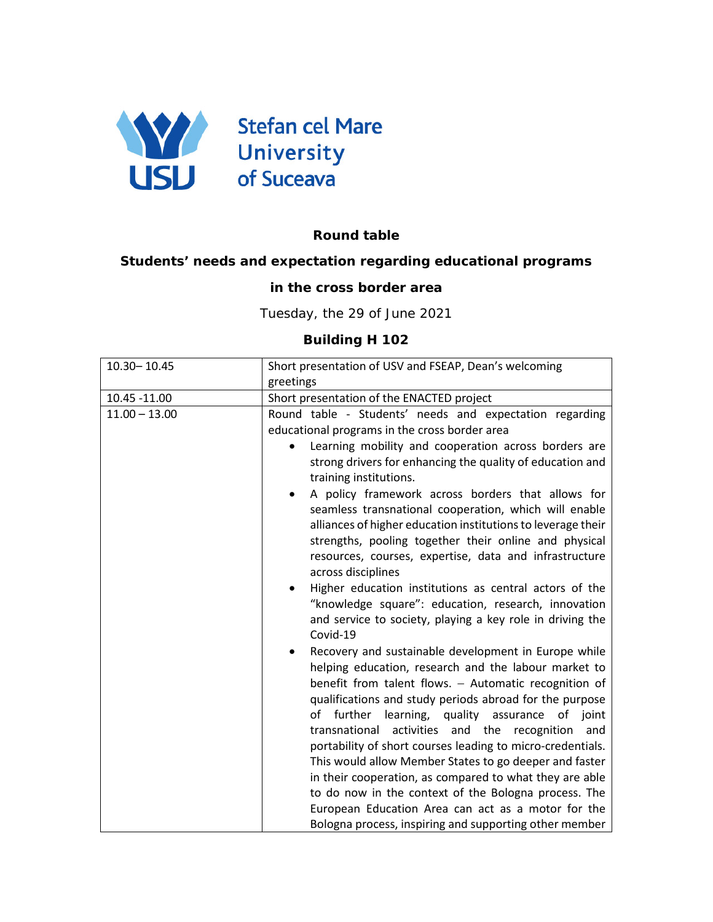

## **Round table**

## **Students' needs and expectation regarding educational programs**

## **in the cross border area**

Tuesday, the 29 of June 2021

## **Building H 102**

| 10.30 - 10.45   | Short presentation of USV and FSEAP, Dean's welcoming                                                                                                                                                                                                                                                                                                                                                                                                                                                                                                                                                                                                                                                                                                                                                                                                                                                                                                                                                                                                                                                                                                                                                                                                                                                                                                                                   |
|-----------------|-----------------------------------------------------------------------------------------------------------------------------------------------------------------------------------------------------------------------------------------------------------------------------------------------------------------------------------------------------------------------------------------------------------------------------------------------------------------------------------------------------------------------------------------------------------------------------------------------------------------------------------------------------------------------------------------------------------------------------------------------------------------------------------------------------------------------------------------------------------------------------------------------------------------------------------------------------------------------------------------------------------------------------------------------------------------------------------------------------------------------------------------------------------------------------------------------------------------------------------------------------------------------------------------------------------------------------------------------------------------------------------------|
|                 | greetings                                                                                                                                                                                                                                                                                                                                                                                                                                                                                                                                                                                                                                                                                                                                                                                                                                                                                                                                                                                                                                                                                                                                                                                                                                                                                                                                                                               |
| 10.45 -11.00    | Short presentation of the ENACTED project                                                                                                                                                                                                                                                                                                                                                                                                                                                                                                                                                                                                                                                                                                                                                                                                                                                                                                                                                                                                                                                                                                                                                                                                                                                                                                                                               |
| $11.00 - 13.00$ | Round table - Students' needs and expectation regarding<br>educational programs in the cross border area<br>Learning mobility and cooperation across borders are<br>strong drivers for enhancing the quality of education and<br>training institutions.<br>A policy framework across borders that allows for<br>$\bullet$<br>seamless transnational cooperation, which will enable<br>alliances of higher education institutions to leverage their<br>strengths, pooling together their online and physical<br>resources, courses, expertise, data and infrastructure<br>across disciplines<br>Higher education institutions as central actors of the<br>"knowledge square": education, research, innovation<br>and service to society, playing a key role in driving the<br>Covid-19<br>Recovery and sustainable development in Europe while<br>helping education, research and the labour market to<br>benefit from talent flows. - Automatic recognition of<br>qualifications and study periods abroad for the purpose<br>further<br>learning, quality assurance<br>of<br>of joint<br>transnational activities and the recognition<br>and<br>portability of short courses leading to micro-credentials.<br>This would allow Member States to go deeper and faster<br>in their cooperation, as compared to what they are able<br>to do now in the context of the Bologna process. The |
|                 | European Education Area can act as a motor for the                                                                                                                                                                                                                                                                                                                                                                                                                                                                                                                                                                                                                                                                                                                                                                                                                                                                                                                                                                                                                                                                                                                                                                                                                                                                                                                                      |
|                 | Bologna process, inspiring and supporting other member                                                                                                                                                                                                                                                                                                                                                                                                                                                                                                                                                                                                                                                                                                                                                                                                                                                                                                                                                                                                                                                                                                                                                                                                                                                                                                                                  |